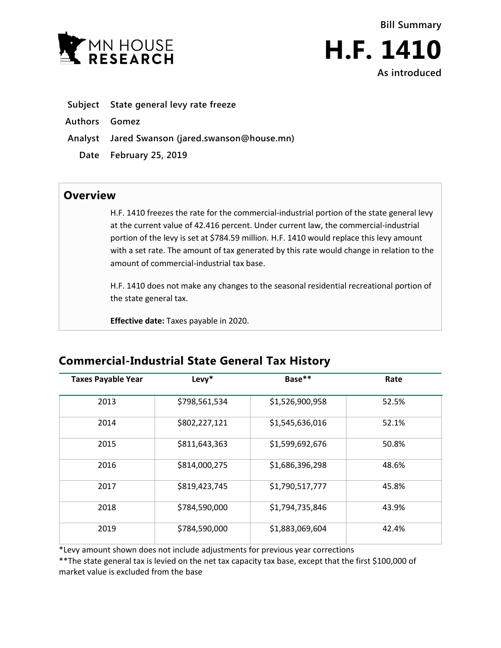



- **Subject State general levy rate freeze**
- **Authors Gomez**
- **Analyst Jared Swanson (jared.swanson@house.mn)**
	- **Date February 25, 2019**

## **Overview**

H.F. 1410 freezes the rate for the commercial-industrial portion of the state general levy at the current value of 42.416 percent. Under current law, the commercial-industrial portion of the levy is set at \$784.59 million. H.F. 1410 would replace this levy amount with a set rate. The amount of tax generated by this rate would change in relation to the amount of commercial-industrial tax base.

H.F. 1410 does not make any changes to the seasonal residential recreational portion of the state general tax.

**Effective date:** Taxes payable in 2020.

## **Commercial-Industrial State General Tax History**

| <b>Taxes Payable Year</b> | Levy*         | Base**          | Rate  |
|---------------------------|---------------|-----------------|-------|
| 2013                      | \$798,561,534 | \$1,526,900,958 | 52.5% |
| 2014                      | \$802,227,121 | \$1,545,636,016 | 52.1% |
| 2015                      | \$811,643,363 | \$1,599,692,676 | 50.8% |
| 2016                      | \$814,000,275 | \$1,686,396,298 | 48.6% |
| 2017                      | \$819,423,745 | \$1,790,517,777 | 45.8% |
| 2018                      | \$784,590,000 | \$1,794,735,846 | 43.9% |
| 2019                      | \$784,590,000 | \$1,883,069,604 | 42.4% |

\*Levy amount shown does not include adjustments for previous year corrections

\*\*The state general tax is levied on the net tax capacity tax base, except that the first \$100,000 of market value is excluded from the base